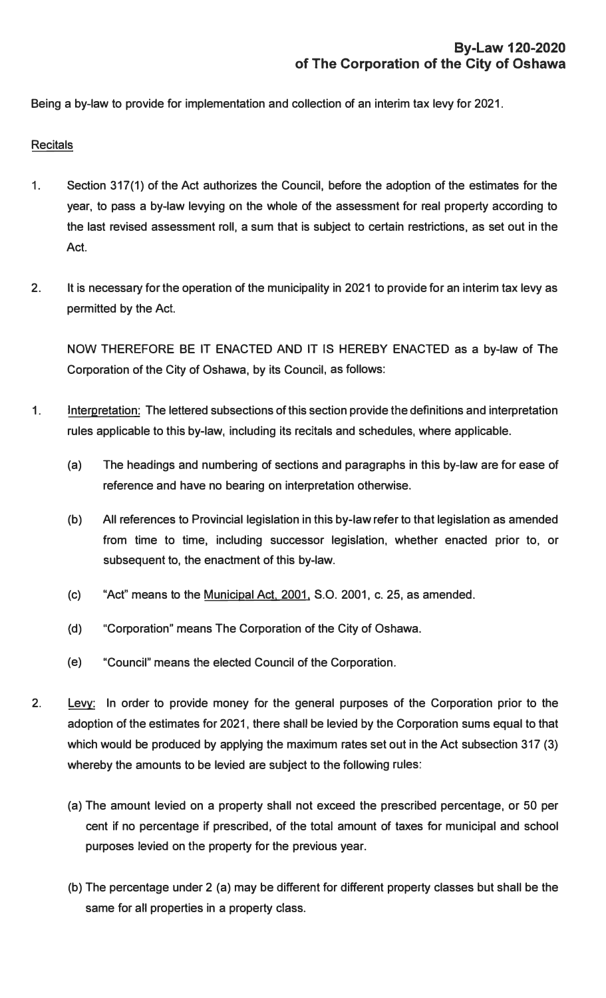**Being a by-law to provide for implementation and collection of an interim tax levy for 2021.** 

## **Recitals**

- **1. Section 317(1) of the Act authorizes the Council, before the adoption of the estimates for the year, to pass a by-law levying on the whole of the assessment for real property according to the last revised assessment roll, a sum that is subject to certain restrictions, as set out in the Act.**
- **2. It is necessary for the operation of the municipality in 2021 to provide for an interim tax levy as permitted by the Act.**

**NOW THEREFORE BE IT ENACTED AND IT IS HEREBY ENACTED as a by-law of The Corporation of the City of Oshawa, by its Council, as follows:** 

- 1. **Interpretation: The lettered subsections of this section provide the definitions and interpretation rules applicable to this by-law, including its recitals and schedules, where applicable.**
	- **(a) The headings and numbering of sections and paragraphs in this by-law are for ease of reference and have no bearing on interpretation otherwise.**
	- **(b) All references to Provincial legislation in this by-law refer to that legislation as amended from time to time, including successor legislation, whether enacted prior to, or subsequent to, the enactment of this by-law.**
	- **(c) "Act" means to the Municipal Act, 2001, S.O. 2001, c. 25, as amended.**
	- **{d) "Corporation" means The Corporation of the City of Oshawa.**
	- **(e) "Council" means the elected Council of the Corporation.**
- **2. Levy: In order to provide money for the general purposes of the Corporation prior to the adoption of the estimates for 2021, there shall be levied by the Corporation sums equal to that which would be produced by applying the maximum rates set out in the Act subsection 317 (3) whereby the amounts to be levied are subject to the following rules:**
	- **(a) The amount levied on a property shall not exceed the prescribed percentage, or 50 per cent if no percentage if prescribed, of the total amount of taxes for municipal and school purposes levied on the property for the previous year.**
	- **(b) The percentage under 2 (a) may be different for different property classes but shall be the same for all properties in a property class.**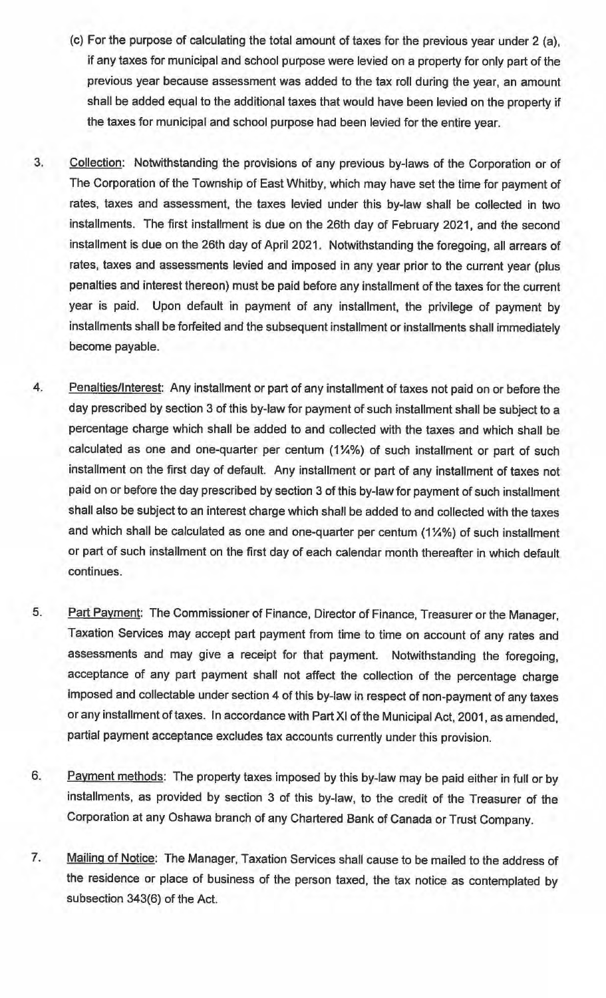- (c) For the purpose of calculating the total amount of taxes for the previous year under 2 (a), if any taxes for municipal and school purpose were levied on a property for only part of the previous year because assessment was added to the tax roll during the year, an amount shall be added equal to the additional taxes that would have been levied on the property if the taxes for municipal and school purpose had been levied for the entire year.
- 3. Collection: Notwithstanding the provisions of any previous by-laws of the Corporation or of The Corporation of the Township of East Whitby, which may have set the time for payment of rates, taxes and assessment, the taxes levied under this by-law shall be collected in two installments. The first installment is due on the 26th day of February 2021, and the second installment is due on the 26th day of April 2021. Notwithstanding the foregoing, all arrears of rates, taxes and assessments levied and imposed in any year prior to the current year (plus penalties and interest thereon) must be paid before any installment of the **taxes** for the current year is paid. Upon default in payment of any installment, the privilege of payment by installments shall be forfeited and the subsequent installment or installments shall immediately become payable.
- **4.** Penalties/Interest: Any installment or part of any installment of taxes not paid on or before the day prescribed by section 3 of this by-law for payment of such installment shall be subject to a percentage charge which shall be added to and collected with the taxes and which shall be calculated as one and one-quarter per centum (1 ¼%) of such installment or part of such installment on the first day of default. Any installment or part of any installment of taxes not paid on or before the day prescribed by section 3 of this by-law for payment of such installment shall also be subject to an interest charge which shall be added to and collected with the taxes and which shall be calculated as one and one-quarter per centum {1 ¼%) of such installment or part of such installment on the first day of each calendar month thereafter in which default continues.
- 5. Part Payment: The Commissioner of Finance, Director of Finance, Treasurer or the Manager, Taxation Services may accept part payment from time to time on account of any rates and assessments and may give a receipt for that payment. Notwithstanding the foregoing, acceptance of any part payment shall not affect the collection of the percentage charge imposed and collectable under section 4 of this by-law in respect of non-payment of any **taxes**  or any installment of taxes. In accordance with Part XI of the Municipal Act, 2001, as amended, partial payment acceptance excludes tax accounts currently under this provision.
- 6. Payment methods: The property taxes imposed by this by-law may be paid either in full or by installments, as provided by section 3 of this by-law, to the credit of the Treasurer of the Corporation at any Oshawa branch of any Chartered Bank of Canada or Trust Company.
- 7. Mailing of Notice: The Manager, Taxation Services shall cause to be mailed to the address of the residence or place of business of the person taxed, the tax notice as contemplated by subsection 343(6) of the Act.